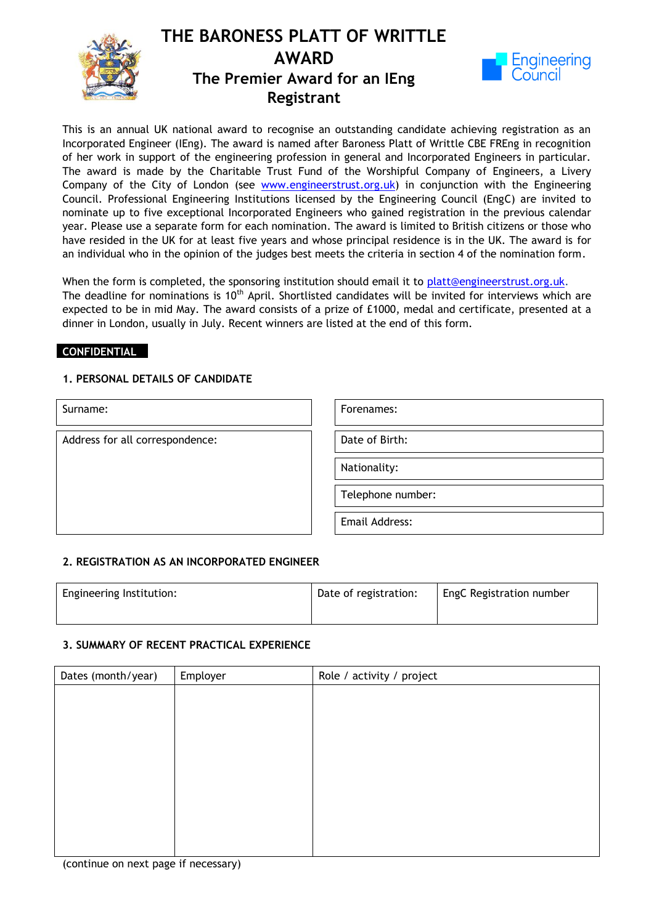



This is an annual UK national award to recognise an outstanding candidate achieving registration as an Incorporated Engineer (IEng). The award is named after Baroness Platt of Writtle CBE FREng in recognition of her work in support of the engineering profession in general and Incorporated Engineers in particular. The award is made by the Charitable Trust Fund of the Worshipful Company of Engineers, a Livery Company of the City of London (see [www.engineerstrust.org.uk\)](http://www.engineerstrust.org.uk/) in conjunction with the Engineering Council. Professional Engineering Institutions licensed by the Engineering Council (EngC) are invited to nominate up to five exceptional Incorporated Engineers who gained registration in the previous calendar year. Please use a separate form for each nomination. The award is limited to British citizens or those who have resided in the UK for at least five years and whose principal residence is in the UK. The award is for an individual who in the opinion of the judges best meets the criteria in section 4 of the nomination form.

When the form is completed, the sponsoring institution should email it to [platt@engineerstrust.org.uk.](mailto:platt@engineerstrust.org.uk) dinner in London, usually in July. Recent winners are listed at the end of this form. The deadline for nominations is 11<sup>th</sup> March. Shortlisted candidates will be invited for interviews which are expected to be in mid April. The award consists of a prize of £1000, medal and certificate, presented at a

#### **CONFIDENTIAL**

### **1. PERSONAL DETAILS OF CANDIDATE**

| Surname:                        | Forenames:        |
|---------------------------------|-------------------|
| Address for all correspondence: | Date of Birth:    |
|                                 | Nationality:      |
|                                 | Telephone number: |
|                                 | Email Address:    |

#### **2. REGISTRATION AS AN INCORPORATED ENGINEER**

| Engineering Institution: | Date of registration: | EngC Registration number |
|--------------------------|-----------------------|--------------------------|
|                          |                       |                          |

#### **3. SUMMARY OF RECENT PRACTICAL EXPERIENCE**

| Dates (month/year) | Employer | Role / activity / project |
|--------------------|----------|---------------------------|
|                    |          |                           |
|                    |          |                           |
|                    |          |                           |
|                    |          |                           |
|                    |          |                           |
|                    |          |                           |
|                    |          |                           |
|                    |          |                           |
|                    |          |                           |
|                    |          |                           |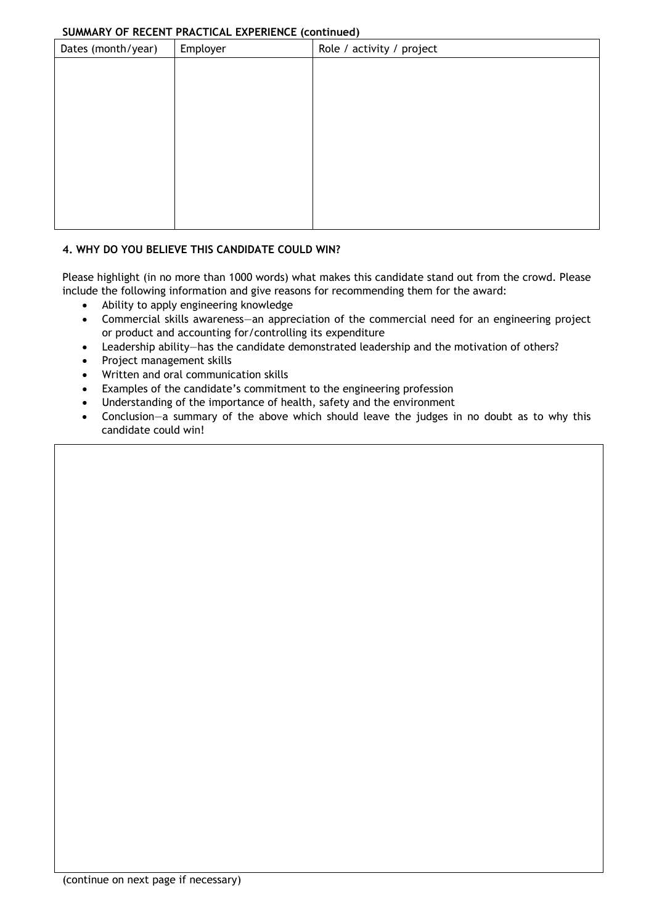## **SUMMARY OF RECENT PRACTICAL EXPERIENCE (continued)**

| $\frac{1}{2}$      |          |                           |
|--------------------|----------|---------------------------|
| Dates (month/year) | Employer | Role / activity / project |
|                    |          |                           |
|                    |          |                           |
|                    |          |                           |
|                    |          |                           |
|                    |          |                           |
|                    |          |                           |
|                    |          |                           |
|                    |          |                           |
|                    |          |                           |
|                    |          |                           |
|                    |          |                           |

# **4. WHY DO YOU BELIEVE THIS CANDIDATE COULD WIN?**

Please highlight (in no more than 1000 words) what makes this candidate stand out from the crowd. Please include the following information and give reasons for recommending them for the award:

- Ability to apply engineering knowledge
- Commercial skills awareness—an appreciation of the commercial need for an engineering project or product and accounting for/controlling its expenditure
- Leadership ability—has the candidate demonstrated leadership and the motivation of others?
- Project management skills
- Written and oral communication skills
- Examples of the candidate's commitment to the engineering profession
- Understanding of the importance of health, safety and the environment
- Conclusion—a summary of the above which should leave the judges in no doubt as to why this candidate could win!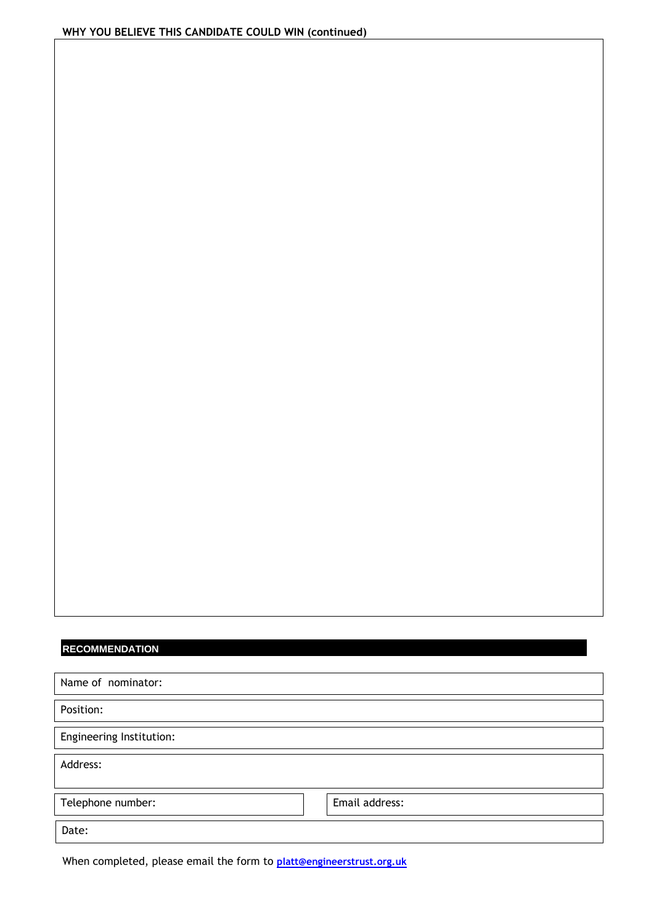# **RECOMMENDATION**

| Name of nominator:       |                |
|--------------------------|----------------|
| Position:                |                |
| Engineering Institution: |                |
| Address:                 |                |
| Telephone number:        | Email address: |
| Date:                    |                |

When completed, please email the form to **[platt@engineerstrust.org.uk](mailto:platt@engineerstrust.org.uk)**